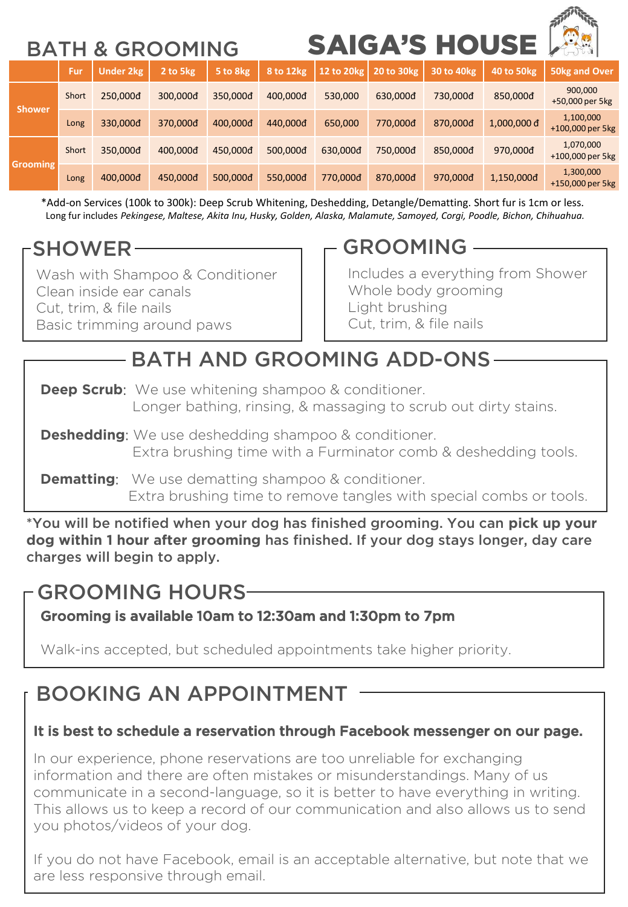# BATH & GROOMING SAIGA'S HOUSE

| <b>DAIN</b><br>ט טווויוט א |       |                  |          | 9AI 9A 9 I I 999E |           |            |                    |             | $\left( -\epsilon \right)$ bull |                               |
|----------------------------|-------|------------------|----------|-------------------|-----------|------------|--------------------|-------------|---------------------------------|-------------------------------|
|                            | Fur   | <b>Under 2kg</b> | 2 to 5kg | 5 to 8kg          | 8 to 12kg | 12 to 20kg | <b>20 to 30 kg</b> | 30 to 40 kg | <b>40 to 50 kg</b>              | <b>50kg and Over</b>          |
| <b>Shower</b>              | Short | 250,000đ         | 300,000đ | 350,000đ          | 400,000d  | 530,000    | 630,000đ           | 730,000đ    | 850,000d                        | 900.000<br>+50,000 per 5kg    |
|                            | Long  | 330,000d         | 370,000đ | 400,000d          | 440,000d  | 650,000    | 770,000đ           | 870,000đ    | $1,000,000$ d                   | 1,100,000<br>+100,000 per 5kg |
| Grooming                   | Short | 350,000d         | 400,000đ | 450,000d          | 500,000d  | 630.000d   | 750,000đ           | 850,000đ    | 970,000đ                        | 1,070,000<br>+100,000 per 5kg |
|                            | Long  | 400.000đ         | 450,000đ | 500,000đ          | 550.000đ  | 770,000đ   | 870,000đ           | 970,000đ    | 1,150,000d                      | 1,300,000<br>+150,000 per 5kg |

\*Add-on Services (100k to 300k): Deep Scrub Whitening, Deshedding, Detangle/Dematting. Short fur is 1cm or less. Long fur includes *Pekingese, Maltese, Akita Inu, Husky, Golden, Alaska, Malamute, Samoyed, Corgi, Poodle, Bichon, Chihuahua.*

## SHOWER

Wash with Shampoo & Conditioner Clean inside ear canals Cut, trim, & file nails Basic trimming around paws

## $-$  GROOMING  $-$

Includes a everything from Shower Whole body grooming Light brushing Cut, trim, & file nails

# - BATH AND GROOMING ADD-ONS-

- **Deep Scrub:** We use whitening shampoo & conditioner. Longer bathing, rinsing, & massaging to scrub out dirty stains.
- **Deshedding:** We use deshedding shampoo & conditioner. Extra brushing time with a Furminator comb & deshedding tools.
- **Dematting:** We use dematting shampoo & conditioner. Extra brushing time to remove tangles with special combs or tools.

\*You will be notified when your dog has finished grooming. You can **pick up your dog within 1 hour after grooming** has finished. If your dog stays longer, day care charges will begin to apply.

## GROOMING HOURS

Grooming is available 10am to 12:30am and 1:30pm to 7pm

Walk-ins accepted, but scheduled appointments take higher priority.

# BOOKING AN APPOINTMENT

#### It is best to schedule a reservation through Facebook messenger on our page.

In our experience, phone reservations are too unreliable for exchanging information and there are often mistakes or misunderstandings. Many of us communicate in a second-language, so it is better to have everything in writing. This allows us to keep a record of our communication and also allows us to send you photos/videos of your dog.

If you do not have Facebook, email is an acceptable alternative, but note that we are less responsive through email.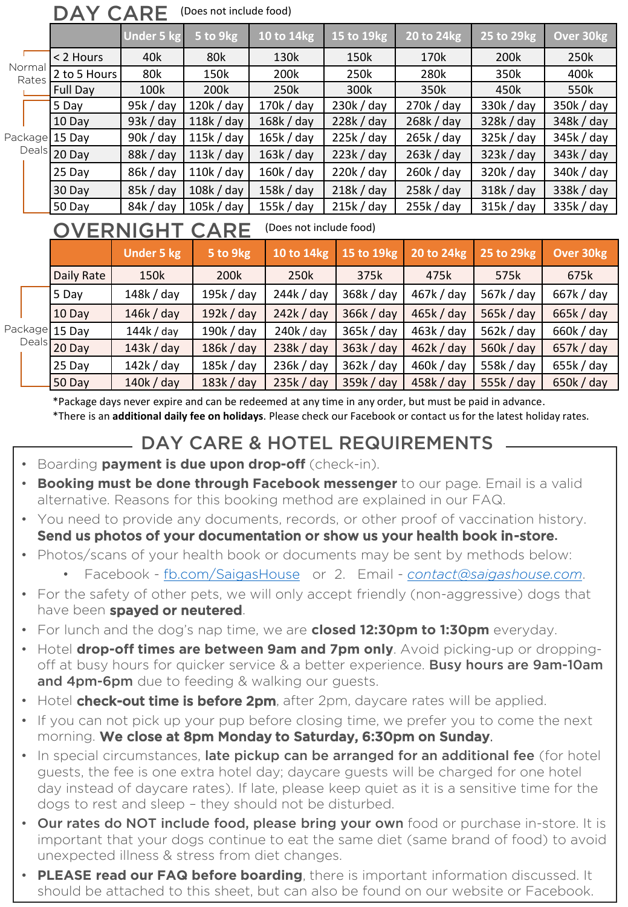|                                                     | (Does not include food)<br><b>DAY CARE</b> |                   |            |            |            |              |             |                  |  |  |  |  |  |
|-----------------------------------------------------|--------------------------------------------|-------------------|------------|------------|------------|--------------|-------------|------------------|--|--|--|--|--|
|                                                     |                                            | Under 5 kg        | 5 to 9kg   | 10 to 14kg | 15 to 19kg | 20 to 24kg   | 25 to 29kg  | Over 30kg        |  |  |  |  |  |
|                                                     | < 2 Hours                                  | 40k               | 80k        | 130k       | 150k       | 170k         | 200k        | 250k             |  |  |  |  |  |
| Normal<br>Rates                                     | 2 to 5 Hours                               | 80k               | 150k       | 200k       | 250k       | 280k         | 350k        | 400k             |  |  |  |  |  |
|                                                     | Full Day                                   | 100k              | 200k       | 250k       | 300k       | 350k         | 450k        | 550k             |  |  |  |  |  |
| Package 15 Day                                      | 5 Day                                      | 95k / day         | 120k / day | 170k / day | 230k / day | 270k / day   | 330k / day  | 350k / day       |  |  |  |  |  |
|                                                     | 10 Day                                     | 93k / day         | 118k / day | 168k / day | 228k / day | 268k / day   | 328k / day  | 348k / day       |  |  |  |  |  |
|                                                     |                                            | 90k / day         | 115k / day | 165k / day | 225k / day | 265k / day   | 325k / day  | 345k / day       |  |  |  |  |  |
|                                                     | Deals 20 Day                               | 88k / day         | 113k / day | 163k / day | 223k / day | 263k / day   | 323k / day  | 343k / day       |  |  |  |  |  |
|                                                     | 25 Day                                     | 86k / day         | 110k / day | 160k / day | 220k / day | 260k / day   | 320k / day  | 340k / day       |  |  |  |  |  |
|                                                     | 30 Day                                     | $85k$ / day       | 108k / day | 158k / day | 218k / day | 258k / day   | 318k / day  | 338k / day       |  |  |  |  |  |
|                                                     | 50 Day                                     | $84k$ / day       | 105k / day | 155k / day | 215k / day | 255k / day   | 315k / day  | 335k / day       |  |  |  |  |  |
| (Does not include food)<br>OVERNIGHT<br><b>CARE</b> |                                            |                   |            |            |            |              |             |                  |  |  |  |  |  |
|                                                     |                                            | <b>Under 5 kg</b> | 5 to 9kg   | 10 to 14kg | 15 to 19kg | 20 to 24kg   | 25 to 29kg  | <b>Over 30kg</b> |  |  |  |  |  |
|                                                     | Daily Rate                                 | 150k              | 200k       | 250k       | 375k       | 475k         | 575k        | 675k             |  |  |  |  |  |
| Package 15 Day<br>Deals 20 Day                      | 5 Day                                      | 148k / day        | 195k / day | 244k / day | 368k / day | 467k / day   | 567k / day  | 667k / day       |  |  |  |  |  |
|                                                     | 10 Day                                     | $146k$ / day      | 192k / day | 242k / day | 366k / day | 465k / day   | 565k / day  | 665k / day       |  |  |  |  |  |
|                                                     |                                            | 144k / day        | 190k / day | 240k / day | 365k / day | 463k / day   | 562k / day  | 660k / day       |  |  |  |  |  |
|                                                     |                                            | 143k / day        | 186k / day | 238k / day | 363k / day | $462k$ / day | 560 $k/day$ | 657k / day       |  |  |  |  |  |
|                                                     | 25 Day                                     | $142k$ / day      | 185k / day | 236k / day | 362k / day | 460k / day   | 558k / day  | 655k / day       |  |  |  |  |  |
|                                                     | 50 Day                                     | 140k / day        | 183k / day | 235k / day | 359k / day | 458k / day   | 555k / day  | 650k / day       |  |  |  |  |  |

\*Package days never expire and can be redeemed at any time in any order, but must be paid in advance. \*There is an **additional daily fee on holidays**. Please check our Facebook or contact us for the latest holiday rates.

### DAY CARE & HOTEL REQUIREMENTS

- Boarding **payment is due upon drop-off** (check-in).
- **Booking must be done through Facebook messenger** to our page. Email is a valid alternative. Reasons for this booking method are explained in our FAQ.
- You need to provide any documents, records, or other proof of vaccination history. Send us photos of your documentation or show us your health book in-store.
- Photos/scans of your health book or documents may be sent by methods below:
	- Facebook [fb.com/SaigasHouse](http://fb.com/SaigasHouse) or 2. Email *[contact@saigashouse.com](mailto:contact@saigashouse.com)*.
- For the safety of other pets, we will only accept friendly (non-aggressive) dogs that have been spayed or neutered.
- For lunch and the dog's nap time, we are **closed 12:30pm to 1:30pm** everyday.
- Hotel **drop-off times are between 9am and 7pm only**. Avoid picking-up or droppingoff at busy hours for quicker service & a better experience. Busy hours are 9am-10am and 4pm-6pm due to feeding & walking our guests.
- Hotel **check-out time is before 2pm**, after 2pm, daycare rates will be applied.
- If you can not pick up your pup before closing time, we prefer you to come the next morning. We close at 8pm Monday to Saturday, 6:30pm on Sunday.
- In special circumstances, late pickup can be arranged for an additional fee (for hotel guests, the fee is one extra hotel day; daycare guests will be charged for one hotel day instead of daycare rates). If late, please keep quiet as it is a sensitive time for the dogs to rest and sleep – they should not be disturbed.
- **Our rates do NOT include food, please bring your own** food or purchase in-store. It is important that your dogs continue to eat the same diet (same brand of food) to avoid unexpected illness & stress from diet changes.
- **PLEASE read our FAQ before boarding**, there is important information discussed. It should be attached to this sheet, but can also be found on our website or Facebook.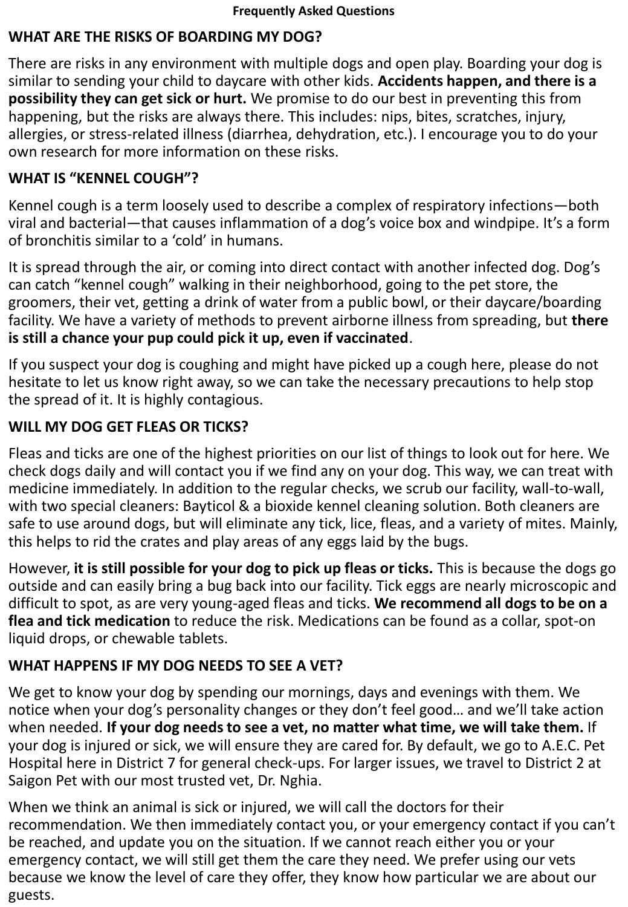#### **WHAT ARE THE RISKS OF BOARDING MY DOG?**

There are risks in any environment with multiple dogs and open play. Boarding your dog is similar to sending your child to daycare with other kids. **Accidents happen, and there is a possibility they can get sick or hurt.** We promise to do our best in preventing this from happening, but the risks are always there. This includes: nips, bites, scratches, injury, allergies, or stress-related illness (diarrhea, dehydration, etc.). I encourage you to do your own research for more information on these risks.

#### **WHAT IS "KENNEL COUGH"?**

Kennel cough is a term loosely used to describe a complex of respiratory infections—both viral and bacterial—that causes inflammation of a dog's voice box and windpipe. It's a form of bronchitis similar to a 'cold' in humans.

It is spread through the air, or coming into direct contact with another infected dog. Dog's can catch "kennel cough" walking in their neighborhood, going to the pet store, the groomers, their vet, getting a drink of water from a public bowl, or their daycare/boarding facility. We have a variety of methods to prevent airborne illness from spreading, but **there is still a chance your pup could pick it up, even if vaccinated**.

If you suspect your dog is coughing and might have picked up a cough here, please do not hesitate to let us know right away, so we can take the necessary precautions to help stop the spread of it. It is highly contagious.

#### **WILL MY DOG GET FLEAS OR TICKS?**

Fleas and ticks are one of the highest priorities on our list of things to look out for here. We check dogs daily and will contact you if we find any on your dog. This way, we can treat with medicine immediately. In addition to the regular checks, we scrub our facility, wall-to-wall, with two special cleaners: Bayticol & a bioxide kennel cleaning solution. Both cleaners are safe to use around dogs, but will eliminate any tick, lice, fleas, and a variety of mites. Mainly, this helps to rid the crates and play areas of any eggs laid by the bugs.

However, **it is still possible for your dog to pick up fleas or ticks.** This is because the dogs go outside and can easily bring a bug back into our facility. Tick eggs are nearly microscopic and difficult to spot, as are very young-aged fleas and ticks. **We recommend all dogs to be on a flea and tick medication** to reduce the risk. Medications can be found as a collar, spot-on liquid drops, or chewable tablets.

#### **WHAT HAPPENS IF MY DOG NEEDS TO SEE A VET?**

We get to know your dog by spending our mornings, days and evenings with them. We notice when your dog's personality changes or they don't feel good… and we'll take action when needed. **If your dog needs to see a vet, no matter what time, we will take them.** If your dog is injured or sick, we will ensure they are cared for. By default, we go to A.E.C. Pet Hospital here in District 7 for general check-ups. For larger issues, we travel to District 2 at Saigon Pet with our most trusted vet, Dr. Nghia.

When we think an animal is sick or injured, we will call the doctors for their recommendation. We then immediately contact you, or your emergency contact if you can't be reached, and update you on the situation. If we cannot reach either you or your emergency contact, we will still get them the care they need. We prefer using our vets because we know the level of care they offer, they know how particular we are about our guests.